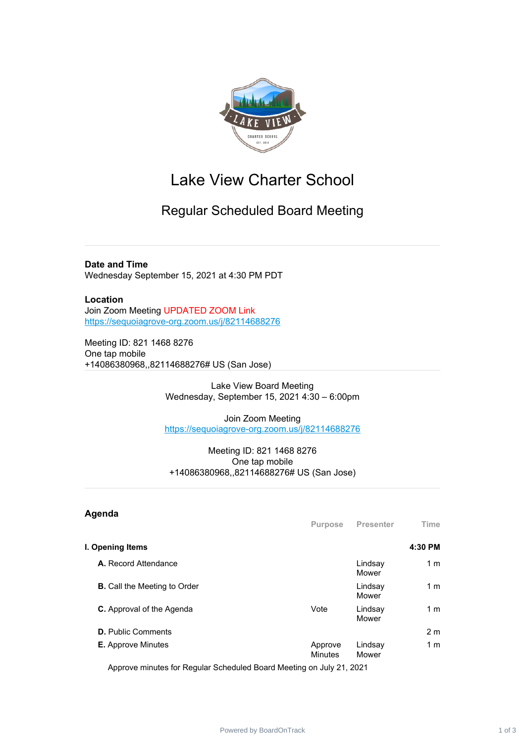

# Lake View Charter School

## Regular Scheduled Board Meeting

#### **Date and Time**

Wednesday September 15, 2021 at 4:30 PM PDT

### **Location**

Join Zoom Meeting UPDATED ZOOM Link <https://sequoiagrove-org.zoom.us/j/82114688276>

Meeting ID: 821 1468 8276 One tap mobile +14086380968,,82114688276# US (San Jose)

> Lake View Board Meeting Wednesday, September 15, 2021 4:30 – 6:00pm

> Join Zoom Meeting <https://sequoiagrove-org.zoom.us/j/82114688276>

#### Meeting ID: 821 1468 8276 One tap mobile +14086380968,,82114688276# US (San Jose)

| Agenda                              | <b>Purpose</b>            | Presenter        | <b>Time</b>    |
|-------------------------------------|---------------------------|------------------|----------------|
| I. Opening Items                    |                           |                  | 4:30 PM        |
| A. Record Attendance                |                           | Lindsay<br>Mower | 1 <sub>m</sub> |
| <b>B.</b> Call the Meeting to Order |                           | Lindsay<br>Mower | 1 <sub>m</sub> |
| <b>C.</b> Approval of the Agenda    | Vote                      | Lindsay<br>Mower | 1 <sub>m</sub> |
| <b>D.</b> Public Comments           |                           |                  | 2 <sub>m</sub> |
| <b>E.</b> Approve Minutes           | Approve<br><b>Minutes</b> | Lindsay<br>Mower | 1 <sub>m</sub> |

Approve minutes for Regular Scheduled Board Meeting on July 21, 2021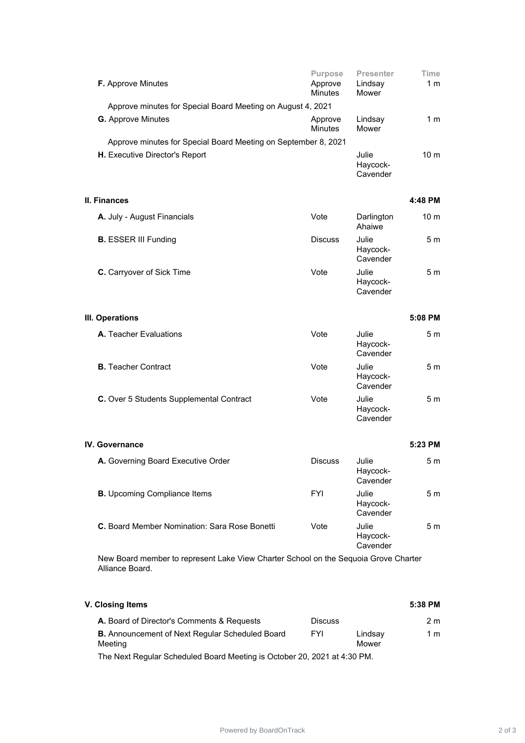|                                                             | F. Approve Minutes                                                                  | Purpose<br>Approve<br><b>Minutes</b> | <b>Presenter</b><br>Lindsay<br>Mower | Time<br>1 m     |  |
|-------------------------------------------------------------|-------------------------------------------------------------------------------------|--------------------------------------|--------------------------------------|-----------------|--|
| Approve minutes for Special Board Meeting on August 4, 2021 |                                                                                     |                                      |                                      |                 |  |
|                                                             | <b>G.</b> Approve Minutes                                                           | Approve<br><b>Minutes</b>            | Lindsay<br>Mower                     | 1 <sub>m</sub>  |  |
|                                                             | Approve minutes for Special Board Meeting on September 8, 2021                      |                                      |                                      |                 |  |
|                                                             | H. Executive Director's Report                                                      |                                      | Julie<br>Haycock-<br>Cavender        | 10 <sub>m</sub> |  |
|                                                             | II. Finances                                                                        |                                      |                                      | 4:48 PM         |  |
|                                                             | A. July - August Financials                                                         | Vote                                 | Darlington<br>Ahaiwe                 | 10 <sub>m</sub> |  |
|                                                             | <b>B.</b> ESSER III Funding                                                         | <b>Discuss</b>                       | Julie<br>Haycock-<br>Cavender        | 5 <sub>m</sub>  |  |
|                                                             | C. Carryover of Sick Time                                                           | Vote                                 | Julie<br>Haycock-<br>Cavender        | 5 <sub>m</sub>  |  |
|                                                             | III. Operations                                                                     |                                      |                                      | 5:08 PM         |  |
|                                                             | A. Teacher Evaluations                                                              | Vote                                 | Julie<br>Haycock-<br>Cavender        | 5 <sub>m</sub>  |  |
|                                                             | <b>B.</b> Teacher Contract                                                          | Vote                                 | Julie<br>Haycock-<br>Cavender        | 5 <sub>m</sub>  |  |
|                                                             | C. Over 5 Students Supplemental Contract                                            | Vote                                 | Julie<br>Haycock-<br>Cavender        | 5 <sub>m</sub>  |  |
|                                                             | IV. Governance                                                                      |                                      |                                      | 5:23 PM         |  |
|                                                             | A. Governing Board Executive Order                                                  | <b>Discuss</b>                       | Julie<br>Haycock-<br>Cavender        | 5 m             |  |
|                                                             | <b>B.</b> Upcoming Compliance Items                                                 | <b>FYI</b>                           | Julie<br>Haycock-<br>Cavender        | 5 <sub>m</sub>  |  |
|                                                             | C. Board Member Nomination: Sara Rose Bonetti                                       | Vote                                 | Julie<br>Haycock-<br>Cavender        | 5 <sub>m</sub>  |  |
|                                                             | New Board member to represent Lake View Charter School on the Sequois Croye Charter |                                      |                                      |                 |  |

New Board member to represent Lake View Charter School on the Sequoia Grove Charter Alliance Board.

| V. Closing Items                                                  |                |                  |     |
|-------------------------------------------------------------------|----------------|------------------|-----|
| A. Board of Director's Comments & Requests                        | <b>Discuss</b> |                  | 2 m |
| <b>B.</b> Announcement of Next Regular Scheduled Board<br>Meeting | <b>FYI</b>     | Lindsay<br>Mower | 1 m |
| TI NIID ILO IIID INII YA IILOO OO JIJOO DNI                       |                |                  |     |

The Next Regular Scheduled Board Meeting is October 20, 2021 at 4:30 PM.